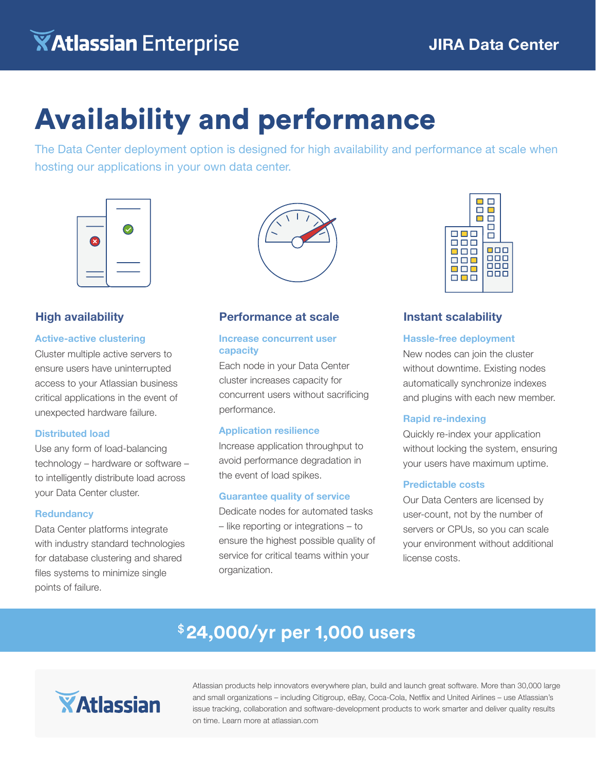# Availability and performance

The Data Center deployment option is designed for high availability and performance at scale when hosting our applications in your own data center.



#### **High availability**

#### **Active-active clustering**

Cluster multiple active servers to ensure users have uninterrupted access to your Atlassian business critical applications in the event of unexpected hardware failure.

#### **Distributed load**

Use any form of load-balancing technology – hardware or software – to intelligently distribute load across your Data Center cluster.

#### **Redundancy**

Data Center platforms integrate with industry standard technologies for database clustering and shared files systems to minimize single points of failure.



#### **Performance at scale**

#### **Increase concurrent user capacity**

Each node in your Data Center cluster increases capacity for concurrent users without sacrificing performance.

#### **Application resilience**

Increase application throughput to avoid performance degradation in the event of load spikes.

#### **Guarantee quality of service**

Dedicate nodes for automated tasks – like reporting or integrations – to ensure the highest possible quality of service for critical teams within your organization.



#### **Instant scalability**

#### **Hassle-free deployment**

New nodes can join the cluster without downtime. Existing nodes automatically synchronize indexes and plugins with each new member.

#### **Rapid re-indexing**

Quickly re-index your application without locking the system, ensuring your users have maximum uptime.

#### **Predictable costs**

Our Data Centers are licensed by user-count, not by the number of servers or CPUs, so you can scale your environment without additional license costs.

## \$**24,000/yr per 1,000 users**



Atlassian products help innovators everywhere plan, build and launch great software. More than 30,000 large and small organizations – including Citigroup, eBay, Coca-Cola, Netflix and United Airlines – use Atlassian's issue tracking, collaboration and software-development products to work smarter and deliver quality results on time. Learn more at atlassian.com